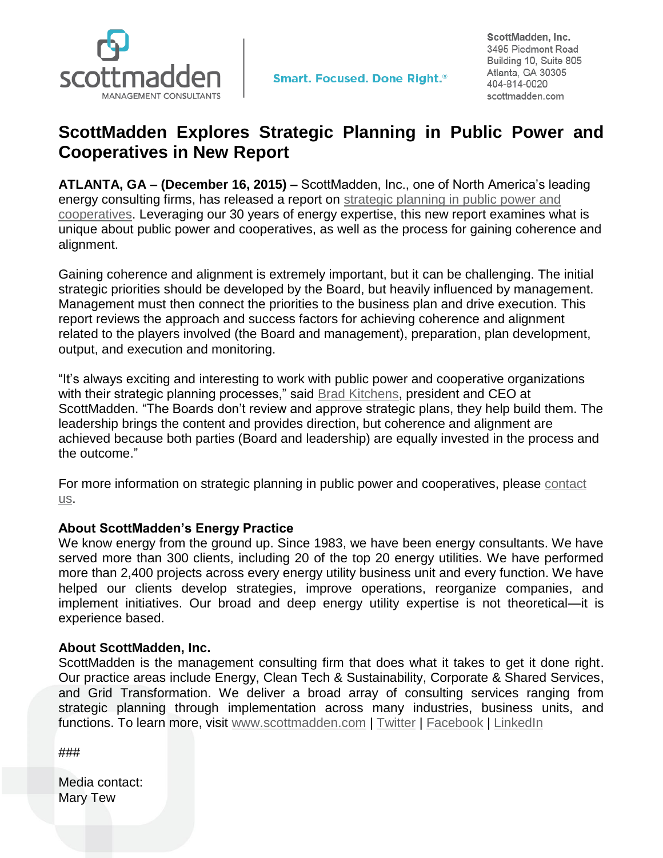

ScottMadden, Inc. 3495 Piedmont Road Building 10, Suite 805 Atlanta, GA 30305 404-814-0020 scottmadden.com

## **ScottMadden Explores Strategic Planning in Public Power and Cooperatives in New Report**

**ATLANTA, GA – (December 16, 2015) –** ScottMadden, Inc., one of North America's leading energy consulting firms, has released a report on [strategic planning in public power and](http://www.scottmadden.com/insight/1005/strategic-planning-in-public-power-and-cooperatives.html)  [cooperatives.](http://www.scottmadden.com/insight/1005/strategic-planning-in-public-power-and-cooperatives.html) Leveraging our 30 years of energy expertise, this new report examines what is unique about public power and cooperatives, as well as the process for gaining coherence and alignment.

Gaining coherence and alignment is extremely important, but it can be challenging. The initial strategic priorities should be developed by the Board, but heavily influenced by management. Management must then connect the priorities to the business plan and drive execution. This report reviews the approach and success factors for achieving coherence and alignment related to the players involved (the Board and management), preparation, plan development, output, and execution and monitoring.

"It's always exciting and interesting to work with public power and cooperative organizations with their strategic planning processes," said [Brad Kitchens,](http://www.scottmadden.com/bios/19/brad-kitchens.html) president and CEO at ScottMadden. "The Boards don't review and approve strategic plans, they help build them. The leadership brings the content and provides direction, but coherence and alignment are achieved because both parties (Board and leadership) are equally invested in the process and the outcome."

For more information on strategic planning in public power and cooperatives, please [contact](http://www.scottmadden.com/page/17/contact-us.html)  [us.](http://www.scottmadden.com/page/17/contact-us.html)

## **About ScottMadden's Energy Practice**

We know energy from the ground up. Since 1983, we have been energy consultants. We have served more than 300 clients, including 20 of the top 20 energy utilities. We have performed more than 2,400 projects across every energy utility business unit and every function. We have helped our clients develop strategies, improve operations, reorganize companies, and implement initiatives. Our broad and deep energy utility expertise is not theoretical—it is experience based.

## **About ScottMadden, Inc.**

ScottMadden is the management consulting firm that does what it takes to get it done right. Our practice areas include Energy, Clean Tech & Sustainability, Corporate & Shared Services, and Grid Transformation. We deliver a broad array of consulting services ranging from strategic planning through implementation across many industries, business units, and functions. To learn more, visit [www.scottmadden.com](http://www.scottmadden.com/) | [Twitter](https://twitter.com/#!/SM_Energy) | [Facebook](http://www.facebook.com/#!/ScottMaddenInc) | [LinkedIn](http://www.linkedin.com/company/37992)

###

Media contact: Mary Tew